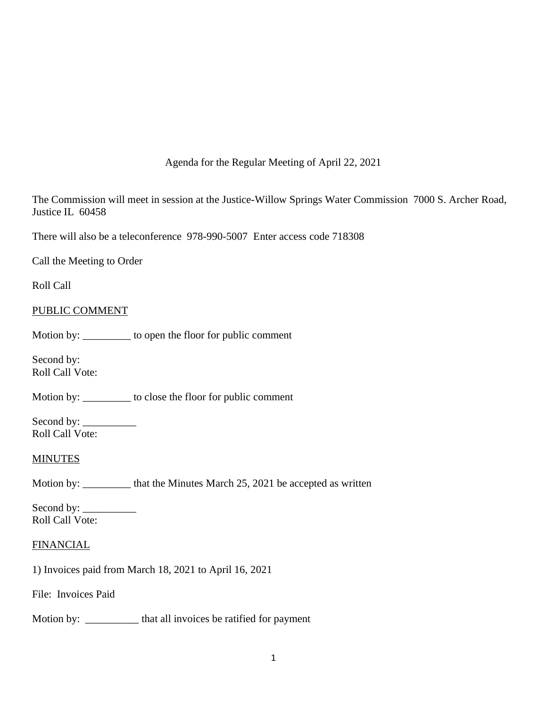# Agenda for the Regular Meeting of April 22, 2021

The Commission will meet in session at the Justice-Willow Springs Water Commission 7000 S. Archer Road, Justice IL 60458

There will also be a teleconference 978-990-5007 Enter access code 718308

Call the Meeting to Order

Roll Call

### PUBLIC COMMENT

Motion by: \_\_\_\_\_\_\_\_\_ to open the floor for public comment

Second by: Roll Call Vote:

Motion by: \_\_\_\_\_\_\_\_\_ to close the floor for public comment

Second by: \_\_\_\_\_\_\_\_\_\_ Roll Call Vote:

### **MINUTES**

Motion by: \_\_\_\_\_\_\_\_\_\_ that the Minutes March 25, 2021 be accepted as written

Second by: \_\_\_\_\_\_\_\_\_\_ Roll Call Vote:

### **FINANCIAL**

1) Invoices paid from March 18, 2021 to April 16, 2021

File: Invoices Paid

Motion by: \_\_\_\_\_\_\_\_\_\_\_ that all invoices be ratified for payment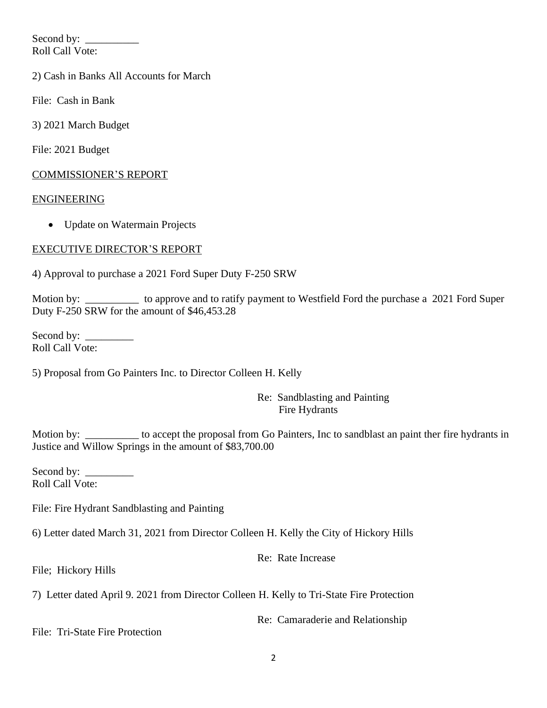Second by: \_\_\_\_\_\_\_\_\_\_ Roll Call Vote:

2) Cash in Banks All Accounts for March

File: Cash in Bank

3) 2021 March Budget

File: 2021 Budget

## COMMISSIONER'S REPORT

### ENGINEERING

• Update on Watermain Projects

# EXECUTIVE DIRECTOR'S REPORT

4) Approval to purchase a 2021 Ford Super Duty F-250 SRW

Motion by: \_\_\_\_\_\_\_\_\_\_\_ to approve and to ratify payment to Westfield Ford the purchase a 2021 Ford Super Duty F-250 SRW for the amount of \$46,453.28

Second by: Roll Call Vote:

5) Proposal from Go Painters Inc. to Director Colleen H. Kelly

### Re: Sandblasting and Painting Fire Hydrants

Motion by: \_\_\_\_\_\_\_\_\_ to accept the proposal from Go Painters, Inc to sandblast an paint ther fire hydrants in Justice and Willow Springs in the amount of \$83,700.00

Second by: \_\_\_\_\_\_\_\_\_ Roll Call Vote:

File: Fire Hydrant Sandblasting and Painting

6) Letter dated March 31, 2021 from Director Colleen H. Kelly the City of Hickory Hills

Re: Rate Increase

File; Hickory Hills

7) Letter dated April 9. 2021 from Director Colleen H. Kelly to Tri-State Fire Protection

Re: Camaraderie and Relationship

File: Tri-State Fire Protection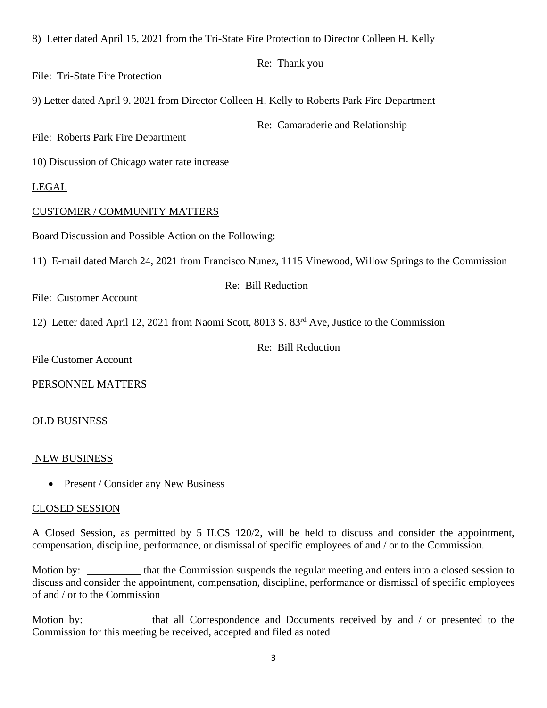| 8) Letter dated April 15, 2021 from the Tri-State Fire Protection to Director Colleen H. Kelly            |
|-----------------------------------------------------------------------------------------------------------|
| Re: Thank you                                                                                             |
| File: Tri-State Fire Protection                                                                           |
| 9) Letter dated April 9. 2021 from Director Colleen H. Kelly to Roberts Park Fire Department              |
| Re: Camaraderie and Relationship<br>File: Roberts Park Fire Department                                    |
| 10) Discussion of Chicago water rate increase                                                             |
| <b>LEGAL</b>                                                                                              |
| <b>CUSTOMER / COMMUNITY MATTERS</b>                                                                       |
| Board Discussion and Possible Action on the Following:                                                    |
| 11) E-mail dated March 24, 2021 from Francisco Nunez, 1115 Vinewood, Willow Springs to the Commission     |
| Re: Bill Reduction                                                                                        |
| File: Customer Account                                                                                    |
| 12) Letter dated April 12, 2021 from Naomi Scott, 8013 S. 83 <sup>rd</sup> Ave, Justice to the Commission |
| Re: Bill Reduction                                                                                        |
| <b>File Customer Account</b>                                                                              |

PERSONNEL MATTERS

### OLD BUSINESS

### NEW BUSINESS

• Present / Consider any New Business

### CLOSED SESSION

A Closed Session, as permitted by 5 ILCS 120/2, will be held to discuss and consider the appointment, compensation, discipline, performance, or dismissal of specific employees of and / or to the Commission.

Motion by: \_\_\_\_\_\_\_\_\_\_\_ that the Commission suspends the regular meeting and enters into a closed session to discuss and consider the appointment, compensation, discipline, performance or dismissal of specific employees of and / or to the Commission

Motion by: \_\_\_\_\_\_\_\_\_\_ that all Correspondence and Documents received by and / or presented to the Commission for this meeting be received, accepted and filed as noted